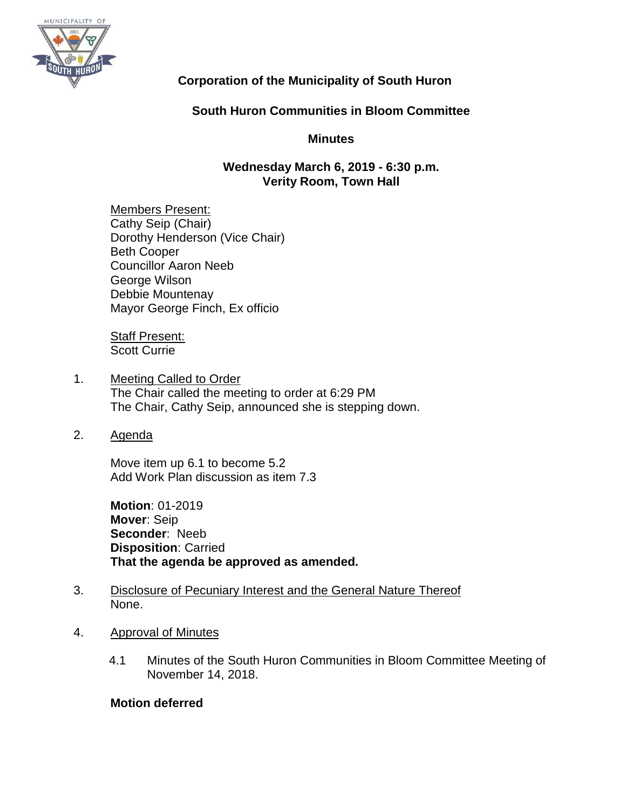

# **Corporation of the Municipality of South Huron**

# **South Huron Communities in Bloom Committee**

# **Minutes**

## **Wednesday March 6, 2019 - 6:30 p.m. Verity Room, Town Hall**

Members Present: Cathy Seip (Chair) Dorothy Henderson (Vice Chair) Beth Cooper Councillor Aaron Neeb George Wilson Debbie Mountenay Mayor George Finch, Ex officio

**Staff Present:** Scott Currie

- 1. Meeting Called to Order The Chair called the meeting to order at 6:29 PM The Chair, Cathy Seip, announced she is stepping down.
- 2. Agenda

Move item up 6.1 to become 5.2 Add Work Plan discussion as item 7.3

**Motion**: 01-2019 **Mover**: Seip **Seconder**: Neeb **Disposition**: Carried **That the agenda be approved as amended.**

- 3. Disclosure of Pecuniary Interest and the General Nature Thereof None.
- 4. Approval of Minutes
	- 4.1 Minutes of the South Huron Communities in Bloom Committee Meeting of November 14, 2018.

## **Motion deferred**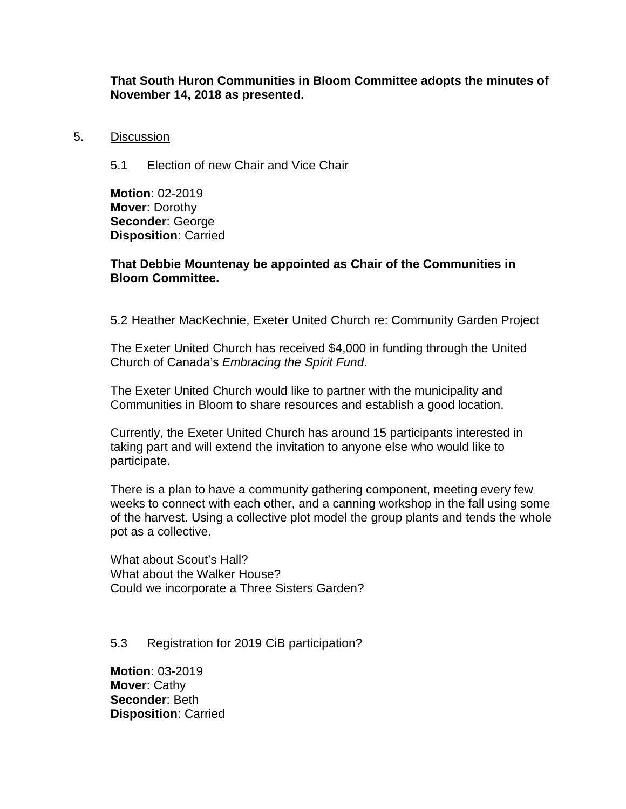### **That South Huron Communities in Bloom Committee adopts the minutes of November 14, 2018 as presented.**

#### 5. Discussion

5.1 Election of new Chair and Vice Chair

**Motion**: 02-2019 **Mover**: Dorothy **Seconder**: George **Disposition**: Carried

### **That Debbie Mountenay be appointed as Chair of the Communities in Bloom Committee.**

5.2 Heather MacKechnie, Exeter United Church re: Community Garden Project

The Exeter United Church has received \$4,000 in funding through the United Church of Canada's *Embracing the Spirit Fund*.

The Exeter United Church would like to partner with the municipality and Communities in Bloom to share resources and establish a good location.

Currently, the Exeter United Church has around 15 participants interested in taking part and will extend the invitation to anyone else who would like to participate.

There is a plan to have a community gathering component, meeting every few weeks to connect with each other, and a canning workshop in the fall using some of the harvest. Using a collective plot model the group plants and tends the whole pot as a collective.

What about Scout's Hall? What about the Walker House? Could we incorporate a Three Sisters Garden?

#### 5.3 Registration for 2019 CiB participation?

**Motion**: 03-2019 **Mover**: Cathy **Seconder**: Beth **Disposition**: Carried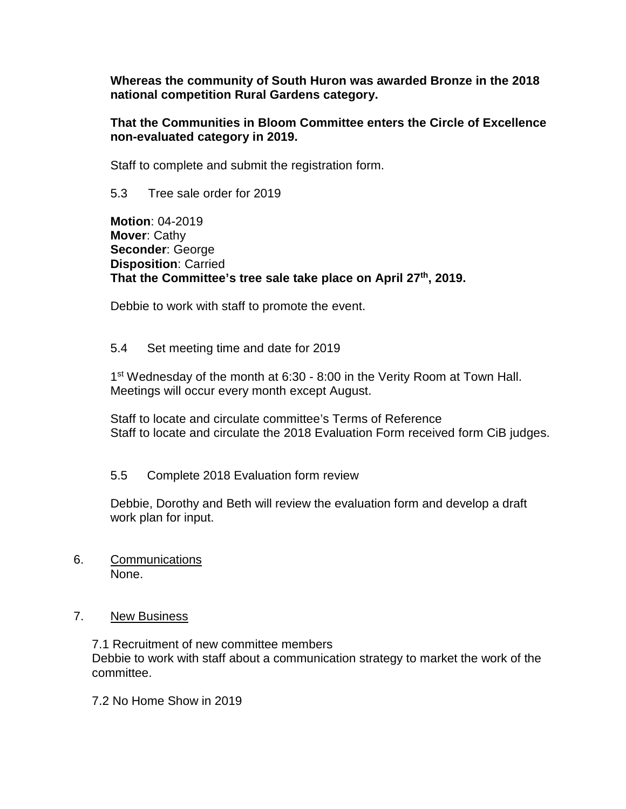**Whereas the community of South Huron was awarded Bronze in the 2018 national competition Rural Gardens category.**

### **That the Communities in Bloom Committee enters the Circle of Excellence non-evaluated category in 2019.**

Staff to complete and submit the registration form.

5.3 Tree sale order for 2019

**Motion**: 04-2019 **Mover**: Cathy **Seconder**: George **Disposition**: Carried **That the Committee's tree sale take place on April 27th, 2019.**

Debbie to work with staff to promote the event.

# 5.4 Set meeting time and date for 2019

1<sup>st</sup> Wednesday of the month at 6:30 - 8:00 in the Verity Room at Town Hall. Meetings will occur every month except August.

Staff to locate and circulate committee's Terms of Reference Staff to locate and circulate the 2018 Evaluation Form received form CiB judges.

## 5.5 Complete 2018 Evaluation form review

Debbie, Dorothy and Beth will review the evaluation form and develop a draft work plan for input.

6. Communications None.

## 7. New Business

7.1 Recruitment of new committee members Debbie to work with staff about a communication strategy to market the work of the committee.

7.2 No Home Show in 2019